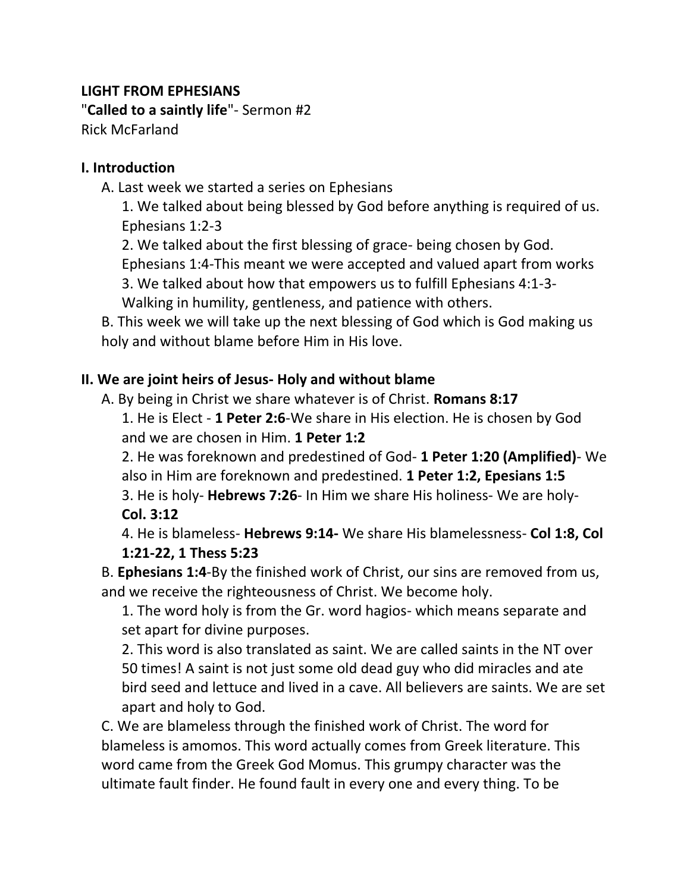## **LIGHT FROM EPHESIANS**

"**Called to a saintly life**"- Sermon #2 Rick McFarland

### **I. Introduction**

A. Last week we started a series on Ephesians

1. We talked about being blessed by God before anything is required of us. Ephesians 1:2-3

2. We talked about the first blessing of grace- being chosen by God.

Ephesians 1:4-This meant we were accepted and valued apart from works

3. We talked about how that empowers us to fulfill Ephesians 4:1-3- Walking in humility, gentleness, and patience with others.

B. This week we will take up the next blessing of God which is God making us holy and without blame before Him in His love.

# **II. We are joint heirs of Jesus- Holy and without blame**

A. By being in Christ we share whatever is of Christ. **Romans 8:17**

1. He is Elect - **1 Peter 2:6**-We share in His election. He is chosen by God and we are chosen in Him. **1 Peter 1:2**

2. He was foreknown and predestined of God- **1 Peter 1:20 (Amplified)**- We also in Him are foreknown and predestined. **1 Peter 1:2, Epesians 1:5**

3. He is holy- **Hebrews 7:26**- In Him we share His holiness- We are holy-**Col. 3:12**

4. He is blameless- **Hebrews 9:14-** We share His blamelessness- **Col 1:8, Col 1:21-22, 1 Thess 5:23** 

B. **Ephesians 1:4**-By the finished work of Christ, our sins are removed from us, and we receive the righteousness of Christ. We become holy.

1. The word holy is from the Gr. word hagios- which means separate and set apart for divine purposes.

2. This word is also translated as saint. We are called saints in the NT over 50 times! A saint is not just some old dead guy who did miracles and ate bird seed and lettuce and lived in a cave. All believers are saints. We are set apart and holy to God.

C. We are blameless through the finished work of Christ. The word for blameless is amomos. This word actually comes from Greek literature. This word came from the Greek God Momus. This grumpy character was the ultimate fault finder. He found fault in every one and every thing. To be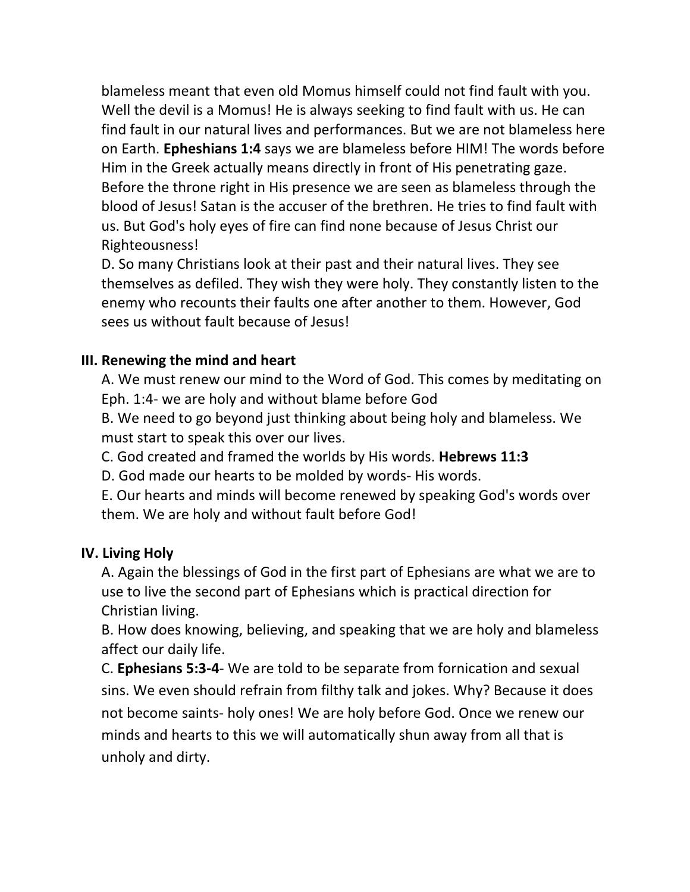blameless meant that even old Momus himself could not find fault with you. Well the devil is a Momus! He is always seeking to find fault with us. He can find fault in our natural lives and performances. But we are not blameless here on Earth. **Epheshians 1:4** says we are blameless before HIM! The words before Him in the Greek actually means directly in front of His penetrating gaze. Before the throne right in His presence we are seen as blameless through the blood of Jesus! Satan is the accuser of the brethren. He tries to find fault with us. But God's holy eyes of fire can find none because of Jesus Christ our Righteousness!

D. So many Christians look at their past and their natural lives. They see themselves as defiled. They wish they were holy. They constantly listen to the enemy who recounts their faults one after another to them. However, God sees us without fault because of Jesus!

## **III. Renewing the mind and heart**

A. We must renew our mind to the Word of God. This comes by meditating on Eph. 1:4- we are holy and without blame before God

B. We need to go beyond just thinking about being holy and blameless. We must start to speak this over our lives.

C. God created and framed the worlds by His words. **Hebrews 11:3**

D. God made our hearts to be molded by words- His words.

E. Our hearts and minds will become renewed by speaking God's words over them. We are holy and without fault before God!

### **IV. Living Holy**

A. Again the blessings of God in the first part of Ephesians are what we are to use to live the second part of Ephesians which is practical direction for Christian living.

B. How does knowing, believing, and speaking that we are holy and blameless affect our daily life.

C. **Ephesians 5:3-4**- We are told to be separate from fornication and sexual sins. We even should refrain from filthy talk and jokes. Why? Because it does not become saints- holy ones! We are holy before God. Once we renew our minds and hearts to this we will automatically shun away from all that is unholy and dirty.